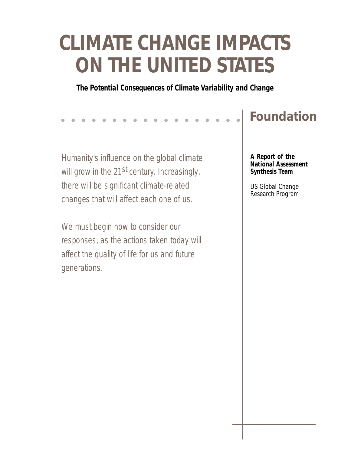# **CLIMATE CHANGE IMPACTS ON THE UNITED STATES**

*The Potential Consequences of Climate Variability and Change*

#### **Foundation**  $\bullet$  $\bullet$   $\bullet$  $\bullet\quad\bullet\quad\bullet$  $\bullet$  $\bullet\quad\bullet\quad\bullet$  $\bullet$  $\bullet$  $\bullet$  $\bullet$  $\bullet$  $\bullet$

*Humanity's influence on the global climate will grow in the 21st century. Increasingly, there will be significant climate-related changes that will affect each one of us.* 

*We must begin now to consider our responses, as the actions taken today will affect the quality of life for us and future generations.*

**A Report of the National Assessment Synthesis Team**

US Global Change Research Program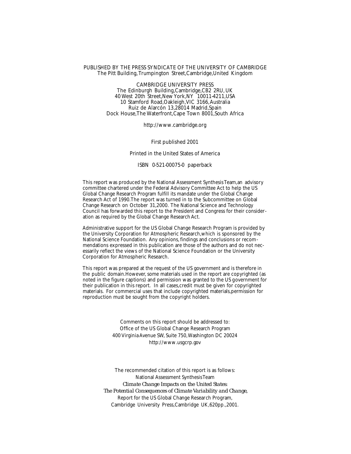#### PUBLISHED BY THE PRESS SYNDICATE OF THE UNIVERSITY OF CAMBRIDGE The Pitt Building,Trumpington Street,Cambridge,United Kingdom

CAMBRIDGE UNIVERSITY PRESS The Edinburgh Building,Cambridge,CB2 2RU,UK 40 West 20th Street,New York,NY 10011-4211,USA 10 Stamford Road,Oakleigh,VIC 3166,Australia Ruiz de Alarcón 13,28014 Madrid,Spain Dock House,The Waterfront,Cape Town 8001,South Africa

http://www.cambridge.org

First published 2001

#### Printed in the United States of America

ISBN 0-521-00075-0 paperback

This report was produced by the National Assessment Synthesis Team,an advisory committee chartered under the Federal Advisory Committee Act to help the US Global Change Research Program fulfill its mandate under the Global Change Research Act of 1990.The report was turned in to the Subcommittee on Global Change Research on October 31,2000. The National Science and Technology Council has forwarded this report to the President and Congress for their consideration as required by the Global Change Research Act.

Administrative support for the US Global Change Research Program is provided by the University Corporation for Atmospheric Research,which is sponsored by the National Science Foundation. Any opinions, findings and conclusions or recommendations expressed in this publication are those of the authors and do not necessarily reflect the views of the National Science Foundation or the University Corporation for Atmospheric Research.

This report was prepared at the request of the US government and is therefore in the public domain.However, some materials used in the report are copyrighted (as noted in the figure captions) and permission was granted to the US government for their publication in this report. In all cases,credit must be given for copyrighted materials. For commercial uses that include copyrighted materials,permission for reproduction must be sought from the copyright holders.

> Comments on this report should be addressed to: Office of the US Global Change Research Program 400 Virginia Avenue SW, Suite 750,Washington DC 20024 http://www.usgcrp.gov

The recommended citation of this report is as follows: National Assessment Synthesis Team *Climate Change Impacts on the United States: The Potential Consequences of Climate Variability and Change,* Report for the US Global Change Research Program, Cambridge University Press,Cambridge UK,620pp.,2001.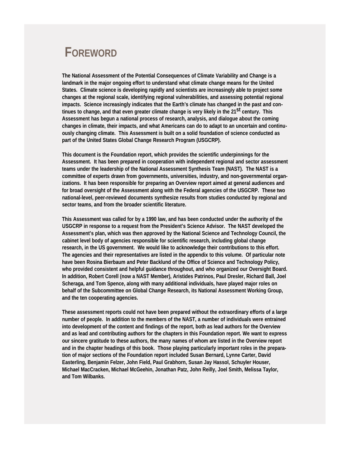# **FOREWORD**

**The National Assessment of the Potential Consequences of Climate Variability and Change is a landmark in the major ongoing effort to understand what climate change means for the United States. Climate science is developing rapidly and scientists are increasingly able to project some changes at the regional scale, identifying regional vulnerabilities, and assessing potential regional impacts. Science increasingly indicates that the Earth's climate has changed in the past and continues to change, and that even greater climate change is very likely in the 21st century. This Assessment has begun a national process of research, analysis, and dialogue about the coming changes in climate, their impacts, and what Americans can do to adapt to an uncertain and continuously changing climate. This Assessment is built on a solid foundation of science conducted as part of the United States Global Change Research Program (USGCRP).**

**This document is the Foundation report, which provides the scientific underpinnings for the Assessment. It has been prepared in cooperation with independent regional and sector assessment teams under the leadership of the National Assessment Synthesis Team (NAST). The NAST is a committee of experts drawn from governments, universities, industry, and non-governmental organizations. It has been responsible for preparing an Overview report aimed at general audiences and for broad oversight of the Assessment along with the Federal agencies of the USGCRP. These two national-level, peer-reviewed documents synthesize results from studies conducted by regional and sector teams, and from the broader scientific literature.**

**This Assessment was called for by a 1990 law, and has been conducted under the authority of the USGCRP in response to a request from the President's Science Advisor. The NAST developed the Assessment's plan, which was then approved by the National Science and Technology Council, the cabinet level body of agencies responsible for scientific research, including global change research, in the US government. We would like to acknowledge their contributions to this effort. The agencies and their representatives are listed in the appendix to this volume. Of particular note have been Rosina Bierbaum and Peter Backlund of the Office of Science and Technology Policy, who provided consistent and helpful guidance throughout, and who organized our Oversight Board. In addition, Robert Corell (now a NAST Member), Aristides Patrinos, Paul Dresler, Richard Ball, Joel Scheraga, and Tom Spence, along with many additional individuals, have played major roles on behalf of the Subcommittee on Global Change Research, its National Assessment Working Group, and the ten cooperating agencies.**

**These assessment reports could not have been prepared without the extraordinary efforts of a large number of people. In addition to the members of the NAST, a number of individuals were entrained into development of the content and findings of the report, both as lead authors for the Overview and as lead and contributing authors for the chapters in this Foundation report. We want to express our sincere gratitude to these authors, the many names of whom are listed in the Overview report and in the chapter headings of this book. Those playing particularly important roles in the preparation of major sections of the Foundation report included Susan Bernard, Lynne Carter, David Easterling, Benjamin Felzer, John Field, Paul Grabhorn, Susan Jay Hassol, Schuyler Houser, Michael MacCracken, Michael McGeehin, Jonathan Patz, John Reilly, Joel Smith, Melissa Taylor, and Tom Wilbanks.**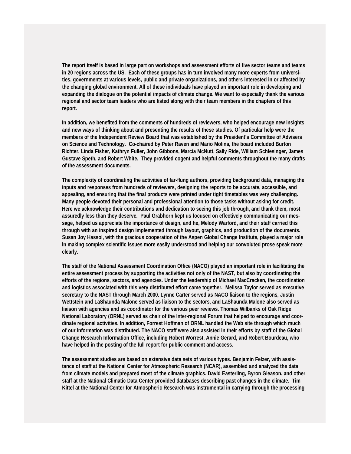**The report itself is based in large part on workshops and assessment efforts of five sector teams and teams in 20 regions across the US. Each of these groups has in turn involved many more experts from universities, governments at various levels, public and private organizations, and others interested in or affected by the changing global environment. All of these individuals have played an important role in developing and expanding the dialogue on the potential impacts of climate change. We want to especially thank the various regional and sector team leaders who are listed along with their team members in the chapters of this report.**

**In addition, we benefited from the comments of hundreds of reviewers, who helped encourage new insights and new ways of thinking about and presenting the results of these studies. Of particular help were the members of the Independent Review Board that was established by the President's Committee of Advisers on Science and Technology. Co-chaired by Peter Raven and Mario Molina, the board included Burton Richter, Linda Fisher, Kathryn Fuller, John Gibbons, Marcia McNutt, Sally Ride, William Schlesinger, James Gustave Speth, and Robert White. They provided cogent and helpful comments throughout the many drafts of the assessment documents.**

**The complexity of coordinating the activities of far-flung authors, providing background data, managing the inputs and responses from hundreds of reviewers, designing the reports to be accurate, accessible, and appealing, and ensuring that the final products were printed under tight timetables was very challenging. Many people devoted their personal and professional attention to those tasks without asking for credit. Here we acknowledge their contributions and dedication to seeing this job through, and thank them, most assuredly less than they deserve. Paul Grabhorn kept us focused on effectively communicating our message, helped us appreciate the importance of design, and he, Melody Warford, and their staff carried this through with an inspired design implemented through layout, graphics, and production of the documents. Susan Joy Hassol, with the gracious cooperation of the Aspen Global Change Institute, played a major role in making complex scientific issues more easily understood and helping our convoluted prose speak more clearly.**

**The staff of the National Assessment Coordination Office (NACO) played an important role in facilitating the entire assessment process by supporting the activities not only of the NAST, but also by coordinating the efforts of the regions, sectors, and agencies. Under the leadership of Michael MacCracken, the coordination and logistics associated with this very distributed effort came together. Melissa Taylor served as executive secretary to the NAST through March 2000. Lynne Carter served as NACO liaison to the regions, Justin Wettstein and LaShaunda Malone served as liaison to the sectors, and LaShaunda Malone also served as liaison with agencies and as coordinator for the various peer reviews. Thomas Wilbanks of Oak Ridge National Laboratory (ORNL) served as chair of the Inter-regional Forum that helped to encourage and coordinate regional activities. In addition, Forrest Hoffman of ORNL handled the Web site through which much of our information was distributed. The NACO staff were also assisted in their efforts by staff of the Global Change Research Information Office, including Robert Worrest, Annie Gerard, and Robert Bourdeau, who have helped in the posting of the full report for public comment and access.**

**The assessment studies are based on extensive data sets of various types. Benjamin Felzer, with assistance of staff at the National Center for Atmospheric Research (NCAR), assembled and analyzed the data from climate models and prepared most of the climate graphics. David Easterling, Byron Gleason, and other staff at the National Climatic Data Center provided databases describing past changes in the climate. Tim Kittel at the National Center for Atmospheric Research was instrumental in carrying through the processing**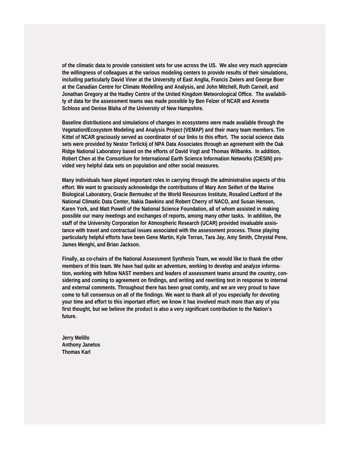**of the climatic data to provide consistent sets for use across the US. We also very much appreciate the willingness of colleagues at the various modeling centers to provide results of their simulations, including particularly David Viner at the University of East Anglia, Francis Zwiers and George Boer at the Canadian Centre for Climate Modelling and Analysis, and John Mitchell, Ruth Carnell, and Jonathan Gregory at the Hadley Centre of the United Kingdom Meteorological Office. The availability of data for the assessment teams was made possible by Ben Felzer of NCAR and Annette Schloss and Denise Blaha of the University of New Hampshire.**

**Baseline distributions and simulations of changes in ecosystems were made available through the Vegetation/Ecosystem Modeling and Analysis Project (VEMAP) and their many team members. Tim Kittel of NCAR graciously served as coordinator of our links to this effort. The social science data sets were provided by Nestor Terlickij of NPA Data Associates through an agreement with the Oak Ridge National Laboratory based on the efforts of David Vogt and Thomas Wilbanks. In addition, Robert Chen at the Consortium for International Earth Science Information Networks (CIESIN) provided very helpful data sets on population and other social measures.**

**Many individuals have played important roles in carrying through the administrative aspects of this effort. We want to graciously acknowledge the contributions of Mary Ann Seifert of the Marine Biological Laboratory, Gracie Bermudez of the World Resources Institute, Rosalind Ledford of the National Climatic Data Center, Nakia Dawkins and Robert Cherry of NACO, and Susan Henson, Karen York, and Matt Powell of the National Science Foundation, all of whom assisted in making possible our many meetings and exchanges of reports, among many other tasks. In addition, the staff of the University Corporation for Atmospheric Research (UCAR) provided invaluable assistance with travel and contractual issues associated with the assessment process. Those playing particularly helpful efforts have been Gene Martin, Kyle Terran, Tara Jay, Amy Smith, Chrystal Pene, James Menghi, and Brian Jackson.**

**Finally, as co-chairs of the National Assessment Synthesis Team, we would like to thank the other members of this team. We have had quite an adventure, working to develop and analyze information, working with fellow NAST members and leaders of assessment teams around the country, considering and coming to agreement on findings, and writing and rewriting text in response to internal and external comments. Throughout there has been great comity, and we are very proud to have come to full consensus on all of the findings. We want to thank all of you especially for devoting your time and effort to this important effort; we know it has involved much more than any of you first thought, but we believe the product is also a very significant contribution to the Nation's future.**

**Jerry Melillo Anthony Janetos Thomas Karl**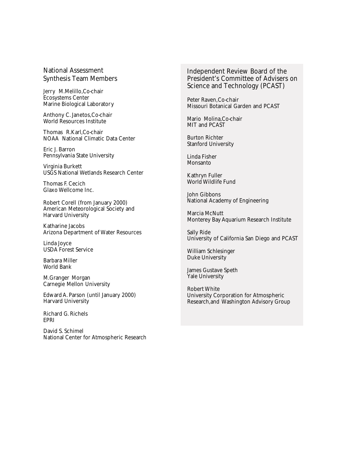#### National Assessment Synthesis Team Members

Jerry M.Melillo,Co-chair Ecosystems Center Marine Biological Laboratory

Anthony C. Janetos,Co-chair World Resources Institute

Thomas R.Karl,Co-chair NOAA National Climatic Data Center

Eric J. Barron Pennsylvania State University

Virginia Burkett USGS National Wetlands Research Center

Thomas F. Cecich Glaxo Wellcome Inc.

Robert Corell (from January 2000) American Meteorological Society and Harvard University

Katharine Jacobs Arizona Department of Water Resources

Linda Joyce USDA Forest Service

Barbara Miller World Bank

M.Granger Morgan Carnegie Mellon University

Edward A. Parson (until January 2000) Harvard University

Richard G. Richels EPRI

David S. Schimel National Center for Atmospheric Research Independent Review Board of the President's Committee of Advisers on Science and Technology (PCAST)

Peter Raven,Co-chair Missouri Botanical Garden and PCAST

Mario Molina,Co-chair MIT and PCAST

Burton Richter Stanford University

Linda Fisher Monsanto

Kathryn Fuller World Wildlife Fund

John Gibbons National Academy of Engineering

Marcia McNutt Monterey Bay Aquarium Research Institute

Sally Ride University of California San Diego and PCAST

William Schlesinger Duke University

James Gustave Speth Yale University

Robert White University Corporation for Atmospheric Research,and Washington Advisory Group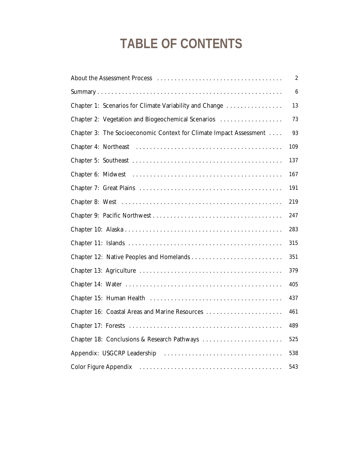# **TABLE OF CONTENTS**

|                                                                    | $\boldsymbol{2}$ |
|--------------------------------------------------------------------|------------------|
|                                                                    | $\boldsymbol{6}$ |
| Chapter 1: Scenarios for Climate Variability and Change            | 13               |
| Chapter 2: Vegetation and Biogeochemical Scenarios                 | 73               |
| Chapter 3: The Socioeconomic Context for Climate Impact Assessment | 93               |
|                                                                    | 109              |
|                                                                    | 137              |
|                                                                    | 167              |
|                                                                    | 191              |
|                                                                    | 219              |
|                                                                    | 247              |
|                                                                    | 283              |
|                                                                    | 315              |
| Chapter 12: Native Peoples and Homelands                           | 351              |
|                                                                    | 379              |
|                                                                    | 405              |
|                                                                    | 437              |
| Chapter 16: Coastal Areas and Marine Resources                     | 461              |
|                                                                    | 489              |
| Chapter 18: Conclusions & Research Pathways                        | 525              |
|                                                                    | 538              |
|                                                                    | 543              |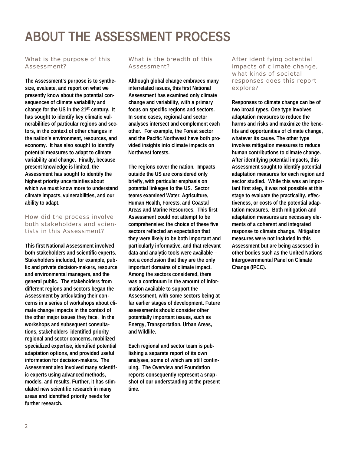# **ABOUT THE ASSESSMENT PROCESS**

What is the purpose of this Assessment?

**The Assessment's purpose is to synthesize, evaluate, and report on what we presently know about the potential consequences of climate variability and change for the US in the 21st century. It has sought to identify key climatic vulnerabilities of particular regions and sectors, in the context of other changes in the nation's environment, resources, and economy. It has also sought to identify potential measures to adapt to climate variability and change. Finally, because present knowledge is limited, the Assessment has sought to identify the highest priority uncertainties about which we must know more to understand climate impacts, vulnerabilities, and our ability to adapt.** 

#### How did the process involve both stakeholders and scientists in this Assessment?

**This first National Assessment involved both stakeholders and scientific experts. Stakeholders included, for example, public and private decision-makers, resource and environmental managers, and the general public. The stakeholders from different regions and sectors began the Assessment by articulating their concerns in a series of workshops about climate change impacts in the context of the other major issues they face. In the workshops and subsequent consultations, stakeholders identified priority regional and sector concerns, mobilized specialized expertise, identified potential adaptation options, and provided useful information for decision-makers. The Assessment also involved many scientific experts using advanced methods, models, and results. Further, it has stimulated new scientific research in many areas and identified priority needs for further research.**

#### What is the breadth of this Assessment?

**Although global change embraces many interrelated issues, this first National Assessment has examined only climate change and variability, with a primary focus on specific regions and sectors. In some cases, regional and sector analyses intersect and complement each other. For example, the Forest sector and the Pacific Northwest have both provided insights into climate impacts on Northwest forests.** 

**The regions cover the nation. Impacts outside the US are considered only briefly, with particular emphasis on potential linkages to the US. Sector teams examined Water, Agriculture, Human Health, Forests, and Coastal Areas and Marine Resources. This first Assessment could not attempt to be comprehensive: the choice of these five sectors reflected an expectation that they were likely to be both important and particularly informative, and that relevant data and analytic tools were available – not a conclusion that they are the only important domains of climate impact. Among the sectors considered, there was a continuum in the amount of information available to support the Assessment, with some sectors being at far earlier stages of development. Future assessments should consider other potentially important issues, such as Energy, Transportation, Urban Areas, and Wildlife.**

**Each regional and sector team is publishing a separate report of its own analyses, some of which are still continuing. The Overview and Foundation reports consequently represent a snapshot of our understanding at the present time.** 

After identifying potential impacts of climate change, what kinds of societal responses does this report explore?

**Responses to climate change can be of two broad types. One type involves adaptation measures to reduce the harms and risks and maximize the benefits and opportunities of climate change, whatever its cause. The other type involves mitigation measures to reduce human contributions to climate change. After identifying potential impacts, this Assessment sought to identify potential adaptation measures for each region and sector studied. While this was an important first step, it was not possible at this stage to evaluate the practicality, effectiveness, or costs of the potential adaptation measures. Both mitigation and adaptation measures are necessary ele ments of a coherent and integrated response to climate change. Mitigation measures were not included in this Assessment but are being assessed in other bodies such as the United Nations Intergovernmental Panel on Climate Change (IPCC).**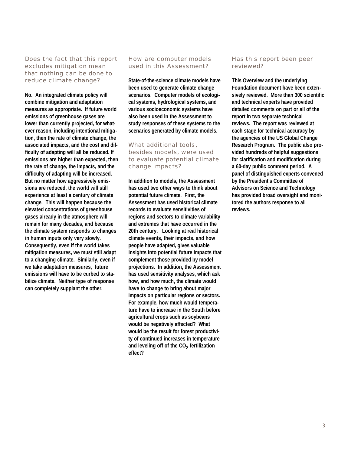#### Does the fact that this report excludes mitigation mean that nothing can be done to reduce climate change?

**No. An integrated climate policy will combine mitigation and adaptation measures as appropriate. If future world emissions of greenhouse gases are lower than currently projected, for whatever reason, including intentional mitigation, then the rate of climate change, the associated impacts, and the cost and difficulty of adapting will all be reduced. If emissions are higher than expected, then the rate of change, the impacts, and the difficulty of adapting will be increased. But no matter how aggressively emissions are reduced, the world will still experience at least a century of climate change. This will happen because the elevated concentrations of greenhouse gases already in the atmosphere will remain for many decades, and because the climate system responds to changes in human inputs only very slowly. Consequently, even if the world takes mitigation measures, we must still adapt to a changing climate. Similarly, even if we take adaptation measures, future emissions will have to be curbed to stabilize climate. Neither type of response can completely supplant the other.**

#### How are computer models used in this Assessment?

**State-of-the-science climate models have been used to generate climate change scenarios. Computer models of ecological systems, hydrological systems, and various socioeconomic systems have also been used in the Assessment to study responses of these systems to the scenarios generated by climate models.**

#### What additional tools, besides models, were used to evaluate potential climate change impacts?

**In addition to models, the Assessment has used two other ways to think about potential future climate. First, the Assessment has used historical climate records to evaluate sensitivities of regions and sectors to climate variability and extremes that have occurred in the 20th century. Looking at real historical climate events, their impacts, and how people have adapted, gives valuable insights into potential future impacts that complement those provided by model projections. In addition, the Assessment has used sensitivity analyses, which ask how, and how much, the climate would have to change to bring about major impacts on particular regions or sectors. For example, how much would temperature have to increase in the South before agricultural crops such as soybeans would be negatively affected? What would be the result for forest productivity of continued increases in temperature and leveling off of the CO2 fertilization effect?**

#### Has this report been peer reviewed?

**This Overview and the underlying Foundation document have been extensively reviewed. More than 300 scientific and technical experts have provided detailed comments on part or all of the report in two separate technical reviews. The report was reviewed at each stage for technical accuracy by the agencies of the US Global Change Research Program. The public also provided hundreds of helpful suggestions for clarification and modification during a 60-day public comment period. A panel of distinguished experts convened by the President's Committee of Advisors on Science and Technology has provided broad oversight and monitored the authors response to all reviews.**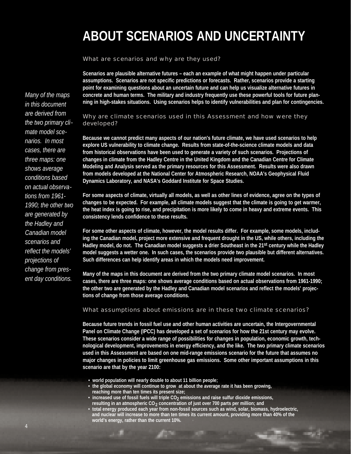# **ABOUT SCENARIOS AND UNCERTAINTY**

#### What are scenarios and why are they used?

**Scenarios are plausible alternative futures – each an example of what might happen under particular assumptions. Scenarios are not specific predictions or forecasts. Rather, scenarios provide a starting point for examining questions about an uncertain future and can help us visualize alternative futures in concrete and human terms. The military and industry frequently use these powerful tools for future planning in high-stakes situations. Using scenarios helps to identify vulnerabilities and plan for contingencies.**

#### Why are climate scenarios used in this Assessment and how were they developed?

**Because we cannot predict many aspects of our nation's future climate, we have used scenarios to help explore US vulnerability to climate change. Results from state-of-the-science climate models and data from historical observations have been used to generate a variety of such scenarios. Projections of changes in climate from the Hadley Centre in the United Kingdom and the Canadian Centre for Climate Modeling and Analysis served as the primary resources for this Assessment. Results were also drawn from models developed at the National Center for Atmospheric Research, NOAA's Geophysical Fluid Dynamics Laboratory, and NASA's Goddard Institute for Space Studies.**

**For some aspects of climate, virtually all models, as well as other lines of evidence, agree on the types of changes to be expected. For example, all climate models suggest that the climate is going to get warmer, the heat index is going to rise, and precipitation is more likely to come in heavy and extreme events. This consistency lends confidence to these results.**

**For some other aspects of climate, however, the model results differ. For example, some models, including the Canadian model, project more extensive and frequent drought in the US, while others, including the Hadley model, do not. The Canadian model suggests a drier Southeast in the 21st century while the Hadley model suggests a wetter one. In such cases, the scenarios provide two plausible but different alternatives. Such differences can help identify areas in which the models need improvement.** 

**Many of the maps in this document are derived from the two primary climate model scenarios. In most cases, there are three maps: one shows average conditions based on actual observations from 1961-1990; the other two are generated by the Hadley and Canadian model scenarios and reflect the models' projections of change from those average conditions.**

#### What assumptions about emissions are in these two climate scenarios?

**Because future trends in fossil fuel use and other human activities are uncertain, the Intergovernmental Panel on Climate Change (IPCC) has developed a set of scenarios for how the 21st century may evolve. These scenarios consider a wide range of possibilities for changes in population, economic growth, technological development, improvements in energy efficiency, and the like. The two primary climate scenarios used in this Assessment are based on one mid-range emissions scenario for the future that assumes no major changes in policies to limit greenhouse gas emissions. Some other important assumptions in this scenario are that by the year 2100:**

- **world population will nearly double to about 11 billion people;**
- **the global economy will continue to grow at about the average rate it has been growing, reaching more than ten times its present size;**
- $\cdot$  increased use of fossil fuels will triple CO<sub>2</sub> emissions and raise sulfur dioxide emissions, **resulting in an atmospheric CO2 concentration of just over 700 parts per million; and • total energy produced each year from non-fossil sources such as wind, solar, biomass, hydroelectric,**
- **and nuclear will increase to more than ten times its current amount, providing more than 40% of the world's energy, rather than the current 10%.**

*Many of the maps in this document are derived from the two primary climate model scenarios. In most cases, there are three maps: one shows average conditions based on actual observations from 1961- 1990; the other two are generated by the Hadley and Canadian model scenarios and reflect the models' projections of change from present day conditions.*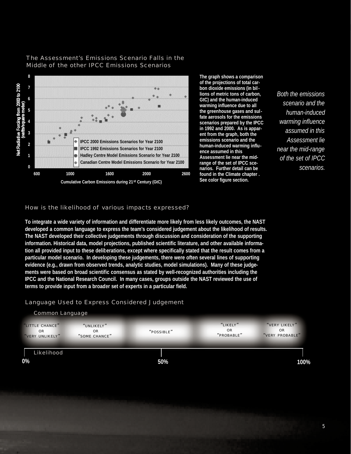

#### The Assessment's Emissions Scenario Falls in the Middle of the other IPCC Emissions Scenarios

**The graph shows a comparison of the projections of total carbon dioxide emissions (in billions of metric tons of carbon, GtC) and the human-induced warming influence due to all the greenhouse gases and sulfate aerosols for the emissions scenarios prepared by the IPCC in 1992 and 2000. As is apparent from the graph, both the emissions scenario and the human-induced warming influence assumed in this Assessment lie near the midrange of the set of IPCC scenarios. Further detail can be found in the Climate chapter . See color figure section.**

*Both the emissions scenario and the human-induced warming influence assumed in this Assessment lie near the mid-range of the set of IPCC scenarios.*

#### How is the likelihood of various impacts expressed?

**To integrate a wide variety of information and differentiate more likely from less likely outcomes, the NAST developed a common language to express the team's considered judgement about the likelihood of results. The NAST developed their collective judgements through discussion and consideration of the supporting information. Historical data, model projections, published scientific literature, and other available information all provided input to these deliberations, except where specifically stated that the result comes from a particular model scenario. In developing these judgements, there were often several lines of supporting evidence (e.g., drawn from observed trends, analytic studies, model simulations). Many of these judgements were based on broad scientific consensus as stated by well-recognized authorities including the IPCC and the National Research Council. In many cases, groups outside the NAST reviewed the use of terms to provide input from a broader set of experts in a particular field.**

#### Language Used to Express Considered Judgement

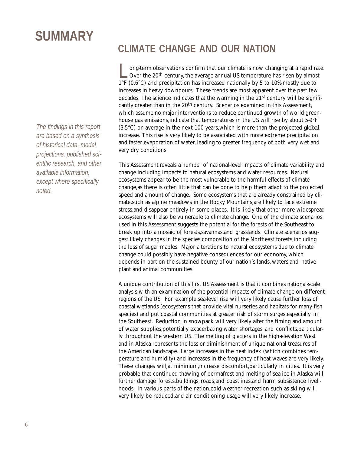# **SUMMARY**

*The findings in this report are based on a synthesis of historical data, model projections, published scientific research, and other available information, except where specifically noted.*

# **CLIMATE CHANGE AND OUR NATION**

ong-term observations confirm that our climate is now changing at a rapid rate. Over the 20<sup>th</sup> century, the average annual US temperature has risen by almost  $1^{\circ}F$  (0.6°C) and precipitation has increased patienally by  $\frac{E}{2}$  to  $10^{\circ}$  mostly due to 1°F (0.6°C) and precipitation has increased nationally by 5 to 10%,mostly due to increases in heavy downpours. These trends are most apparent over the past few decades. The science indicates that the warming in the 21st century will be significantly greater than in the 20<sup>th</sup> century. Scenarios examined in this Assessment, which assume no major interventions to reduce continued growth of world greenhouse gas emissions,indicate that temperatures in the US will rise by about 5-9°F (3-5°C) on average in the next 100 years,which is more than the projected *global* increase. This rise is very likely to be associated with more extreme precipitation and faster evaporation of water, leading to greater frequency of both very wet and very dry conditions.

This Assessment reveals a number of national-level impacts of climate variability and change including impacts to natural ecosystems and water resources. Natural ecosystems appear to be the most vulnerable to the harmful effects of climate change,as there is often little that can be done to help them adapt to the projected speed and amount of change. Some ecosystems that are already constrained by climate,such as alpine meadows in the Rocky Mountains,are likely to face extreme stress,and disappear entirely in some places. It is likely that other more widespread ecosystems will also be vulnerable to climate change. One of the climate scenarios used in this Assessment suggests the potential for the forests of the Southeast to break up into a mosaic of forests,savannas,and grasslands. Climate scenarios suggest likely changes in the species composition of the Northeast forests,including the loss of sugar maples. Major alterations to natural ecosystems due to climate change could possibly have negative consequences for our economy, which depends in part on the sustained bounty of our nation's lands, waters,and native plant and animal communities.

A unique contribution of this first US Assessment is that it combines national-scale analysis with an examination of the potential impacts of climate change on different regions of the US. For example,sea-level rise will very likely cause further loss of coastal wetlands (ecosystems that provide vital nurseries and habitats for many fish species) and put coastal communities at greater risk of storm surges,especially in the Southeast. Reduction in snowpack will very likely alter the timing and amount of water supplies,potentially exacerbating water shortages and conflicts,particularly throughout the western US. The melting of glaciers in the high-elevation West and in Alaska represents the loss or diminishment of unique national treasures of the American landscape. Large increases in the heat index (which combines temperature and humidity) and increases in the frequency of heat waves are very likely. These changes will,at minimum,increase discomfort,particularly in cities. It is very probable that continued thawing of permafrost and melting of sea ice in Alaska will further damage forests, buildings, roads, and coastlines, and harm subsistence livelihoods. In various parts of the nation,cold-weather recreation such as skiing will very likely be reduced,and air conditioning usage will very likely increase.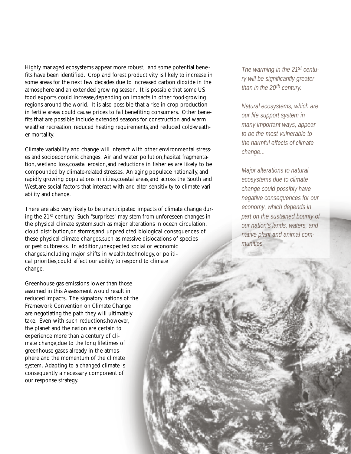Highly managed ecosystems appear more robust, and some potential benefits have been identified. Crop and forest productivity is likely to increase in some areas for the next few decades due to increased carbon dioxide in the atmosphere and an extended growing season. It is possible that some US food exports could increase,depending on impacts in other food-growing regions around the world. It is also possible that a rise in crop production in fertile areas could cause prices to fall,benefiting consumers. Other benefits that are possible include extended seasons for construction and warm weather recreation, reduced heating requirements, and reduced cold-weather mortality.

Climate variability and change will interact with other environmental stresses and socioeconomic changes. Air and water pollution,habitat fragmentation, wetland loss,coastal erosion,and reductions in fisheries are likely to be compounded by climate-related stresses. An aging populace nationally, and rapidly growing populations in cities,coastal areas,and across the South and West,are social factors that interact with and alter sensitivity to climate variability and change.

There are also very likely to be unanticipated impacts of climate change during the 21st century. Such "surprises" may stem from unforeseen changes in the physical climate system,such as major alterations in ocean circulation, cloud distribution,or storms;and unpredicted biological consequences of these physical climate changes,such as massive dislocations of species or pest outbreaks. In addition,unexpected social or economic changes,including major shifts in wealth,technology, or political priorities,could affect our ability to respond to climate change.

Greenhouse gas emissions lower than those assumed in this Assessment would result in reduced impacts. The signatory nations of the Framework Convention on Climate Change are negotiating the path they will ultimately take. Even with such reductions,however, the planet and the nation are certain to experience more than a century of climate change,due to the long lifetimes of greenhouse gases already in the atmosphere and the momentum of the climate system. Adapting to a changed climate is consequently a necessary component of our response strategy.

*The warming in the 21st century will be significantly greater than in the 20th century.*

*Natural ecosystems, which are our life support system in many important ways, appear to be the most vulnerable to the harmful effects of climate change...*

*Major alterations to natural ecosystems due to climate change could possibly have negative consequences for our economy, which depends in part on the sustained bounty of our nation's lands, waters, and native plant and animal communities.* 

7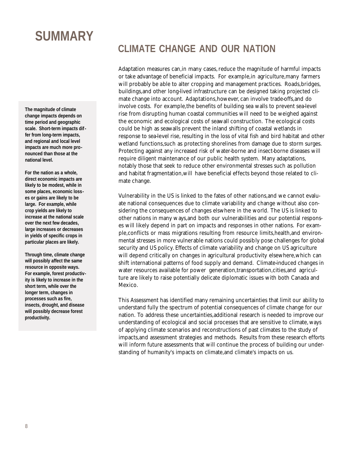# **SUMMARY**

**The magnitude of climate change impacts depends on time period and geographic scale. Short-term impacts differ from long-term impacts, and regional and local level impacts are much more pronounced than those at the national level.**

**For the nation as a whole, direct economic impacts are likely to be modest, while in some places, economic losses or gains are likely to be large. For example, while crop yields are likely to increase at the national scale over the next few decades, large increases or decreases in yields of specific crops in particular places are likely.**

**Through time, climate change will possibly affect the same resource in opposite ways. For example, forest productivity is likely to increase in the short term, while over the longer term, changes in processes such as fire, insects, drought, and disease will possibly decrease forest productivity.**

# **CLIMATE CHANGE AND OUR NATION**

Adaptation measures can, in many cases, reduce the magnitude of harmful impacts or take advantage of beneficial impacts. For example,in agriculture,many farmers will probably be able to alter cropping and management practices. Roads,bridges, buildings,and other long-lived infrastructure can be designed taking projected climate change into account. Adaptations,however, can involve trade-offs,and do involve costs. For example,the benefits of building sea walls to prevent sea-level rise from disrupting human coastal communities will need to be weighed against the economic and ecological costs of seawall construction. The ecological costs could be high as seawalls prevent the inland shifting of coastal wetlands in response to sea-level rise, resulting in the loss of vital fish and bird habitat and other wetland functions,such as protecting shorelines from damage due to storm surges. Protecting against any increased risk of water-borne and insect-borne diseases will require diligent maintenance of our public health system. Many adaptations, notably those that seek to reduce other environmental stresses such as pollution and habitat fragmentation,will have beneficial effects beyond those related to climate change.

Vulnerability in the US is linked to the fates of other nations,and we cannot evaluate national consequences due to climate variability and change without also considering the consequences of changes elswhere in the world. The US is linked to other nations in many ways,and both our vulnerabilities and our potential responses will likely depend in part on impacts and responses in other nations. For example,conflicts or mass migrations resulting from resource limits,health,and environmental stresses in more vulnerable nations could possibly pose challenges for global security and US policy. Effects of climate variability and change on US agriculture will depend critically on changes in agricultural productivity elsewhere,which can shift international patterns of food supply and demand. Climate-induced changes in water resources available for power generation,transportation,cities,and agriculture are likely to raise potentially delicate diplomatic issues with both Canada and Mexico.

This Assessment has identified many remaining uncertainties that limit our ability to understand fully the spectrum of potential consequences of climate change for our nation. To address these uncertainties,additional research is needed to improve our understanding of ecological and social processes that are sensitive to climate, ways of applying climate scenarios and reconstructions of past climates to the study of impacts,and assessment strategies and methods. Results from these research efforts will inform future assessments that will continue the process of building our understanding of humanity's impacts on climate,and climate's impacts on us.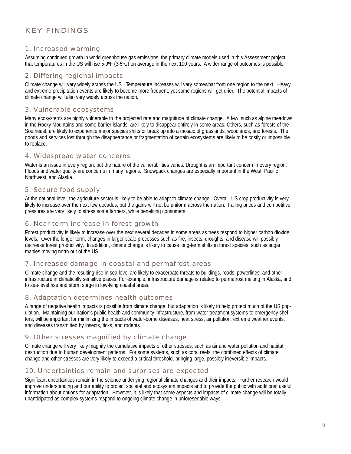### KEY FINDINGS

#### 1. Increased warming

Assuming continued growth in world greenhouse gas emissions, the primary climate models used in this Assessment project that temperatures in the US will rise 5-9ºF (3-5ºC) on average in the next 100 years. A wider range of outcomes is possible.

#### 2. Differing regional impacts

Climate change will vary widely across the US. Temperature increases will vary somewhat from one region to the next. Heavy and extreme precipitation events are likely to become more frequent, yet some regions will get drier. The potential impacts of climate change will also vary widely across the nation.

#### 3. Vulnerable ecosystems

Many ecosystems are highly vulnerable to the projected rate and magnitude of climate change. A few, such as alpine meadows in the Rocky Mountains and some barrier islands, are likely to disappear entirely in some areas. Others, such as forests of the Southeast, are likely to experience major species shifts or break up into a mosaic of grasslands, woodlands, and forests. The goods and services lost through the disappearance or fragmentation of certain ecosystems are likely to be costly or impossible to replace.

#### 4. Widespread water concerns

Water is an issue in every region, but the nature of the vulnerabilities varies. Drought is an important concern in every region. Floods and water quality are concerns in many regions. Snowpack changes are especially important in the West, Pacific Northwest, and Alaska.

#### 5. Secure food supply

At the national level, the agriculture sector is likely to be able to adapt to climate change. Overall, US crop productivity is very likely to increase over the next few decades, but the gains will not be uniform across the nation. Falling prices and competitive pressures are very likely to stress some farmers, while benefiting consumers.

#### 6. Near-term increase in forest growth

Forest productivity is likely to increase over the next several decades in some areas as trees respond to higher carbon dioxide levels. Over the longer term, changes in larger-scale processes such as fire, insects, droughts, and disease will possibly decrease forest productivity. In addition, climate change is likely to cause long-term shifts in forest species, such as sugar maples moving north out of the US.

#### 7. Increased damage in coastal and permafrost areas

Climate change and the resulting rise in sea level are likely to exacerbate threats to buildings, roads, powerlines, and other infrastructure in climatically sensitive places. For example, infrastructure damage is related to permafrost melting in Alaska, and to sea-level rise and storm surge in low-lying coastal areas.

#### 8. Adaptation determines health outcomes

A range of negative health impacts is possible from climate change, but adaptation is likely to help protect much of the US population. Maintaining our nation's public health and community infrastructure, from water treatment systems to emergency shelters, will be important for minimizing the impacts of water-borne diseases, heat stress, air pollution, extreme weather events, and diseases transmitted by insects, ticks, and rodents.

#### 9. Other stresses magnified by climate change

Climate change will very likely magnify the cumulative impacts of other stresses, such as air and water pollution and habitat destruction due to human development patterns. For some systems, such as coral reefs, the combined effects of climate change and other stresses are very likely to exceed a critical threshold, bringing large, possibly irreversible impacts.

#### 10. Uncertainties remain and surprises are expected

Significant uncertainties remain in the science underlying regional climate changes and their impacts. Further research would improve understanding and our ability to project societal and ecosystem impacts and to provide the public with additional useful information about options for adaptation. However, it is likely that some aspects and impacts of climate change will be totally unanticipated as complex systems respond to ongoing climate change in unforeseeable ways.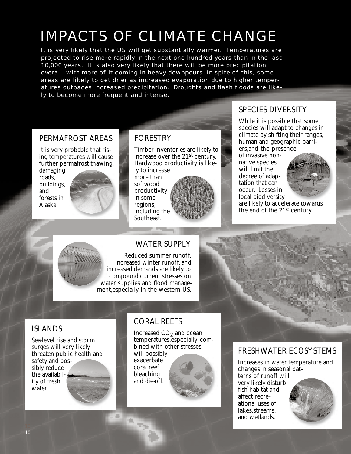# IMPACTS OF CLIMATE CHANGE

It is very likely that the US will get substantially warmer. Temperatures are projected to rise more rapidly in the next one hundred years than in the last 10,000 years. It is also very likely that there will be more precipitation overall, with more of it coming in heavy downpours. In spite of this, some areas are likely to get drier as increased evaporation due to higher temperatures outpaces increased precipitation. Droughts and flash floods are likely to become more frequent and intense.

### PERMAFROST AREAS

It is very probable that rising temperatures will cause further permafrost thawing,

damaging roads, buildings, and forests in Alaska.



### FORESTRY

Timber inventories are likely to increase over the 21st century. Hardwood productivity is likely to increase

more than softwood productivity in some regions, including the Southeast.



# SPECIES DIVERSITY

While it is possible that some species will adapt to changes in climate by shifting their ranges, human and geographic barriers,and the presence

of invasive nonnative species will limit the degree of adaptation that can occur. Losses in local biodiversity are likely to accelerate towards the end of the 21st century.



Reduced summer runoff, increased winter runoff, and increased demands are likely to compound current stresses on water supplies and flood management, especially in the western US.

### ISLANDS

Sea-level rise and storm surges will very likely threaten public health and safety and possibly reduce the availability of fresh water.

# CORAL REEFS

Increased  $CO<sub>2</sub>$  and ocean temperatures, especially combined with other stresses, will possibly

exacerbate coral reef bleaching and die-off.

٠.,



# FRESHWATER ECOSYSTEMS

Increases in water temperature and changes in seasonal patterns of runoff will very likely disturb fish habitat and affect recreational uses of lakes,streams, and wetlands.